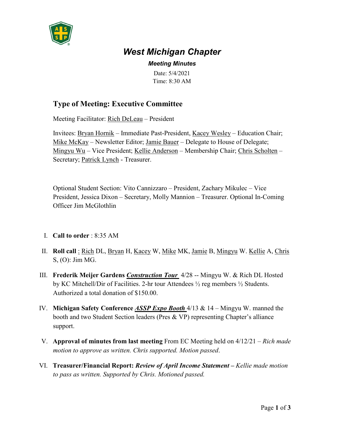

# *West Michigan Chapter*

## *Meeting Minutes*

Date: 5/4/2021 Time: 8:30 AM

# **Type of Meeting: Executive Committee**

Meeting Facilitator: Rich DeLeau – President

Invitees: Bryan Hornik – Immediate Past-President, Kacey Wesley – Education Chair; Mike McKay – Newsletter Editor; Jamie Bauer – Delegate to House of Delegate; Mingyu Wu – Vice President; Kellie Anderson – Membership Chair; Chris Scholten – Secretary; Patrick Lynch - Treasurer.

Optional Student Section: Vito Cannizzaro – President, Zachary Mikulec – Vice President, Jessica Dixon – Secretary, Molly Mannion – Treasurer. Optional In-Coming Officer Jim McGlothlin

### I. **Call to order** : 8:35 AM

- II. **Roll call** : Rich DL, Bryan H, Kacey W, Mike MK, Jamie B, Mingyu W. Kellie A, Chris S, (O): Jim MG.
- III. **Frederik Meijer Gardens** *Construction Tour* 4/28 -- Mingyu W. & Rich DL Hosted by KC Mitchell/Dir of Facilities. 2-hr tour Attendees  $\frac{1}{2}$  reg members  $\frac{1}{2}$  Students. Authorized a total donation of \$150.00.
- IV. **Michigan Safety Conference** *ASSP Expo Booth* 4/13 & 14 Mingyu W. manned the booth and two Student Section leaders (Pres & VP) representing Chapter's alliance support.
- V. **Approval of minutes from last meeting** From EC Meeting held on 4/12/21 *Rich made motion to approve as written. Chris supported. Motion passed*.
- VI. **Treasurer/Financial Report:** *Review of April Income Statement* **–** *Kellie made motion to pass as written. Supported by Chris. Motioned passed.*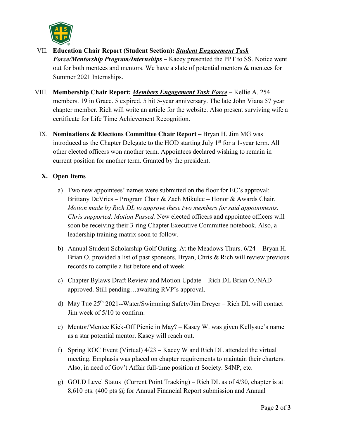

- VII. **Education Chair Report (Student Section):** *Student Engagement Task Force/Mentorship Program/Internships* **–** Kacey presented the PPT to SS. Notice went out for both mentees and mentors. We have a slate of potential mentors & mentees for Summer 2021 Internships.
- VIII. **Membership Chair Report:** *Members Engagement Task Force* **–** Kellie A. 254 members. 19 in Grace. 5 expired. 5 hit 5-year anniversary. The late John Viana 57 year chapter member. Rich will write an article for the website. Also present surviving wife a certificate for Life Time Achievement Recognition.
	- IX. **Nominations & Elections Committee Chair Report** Bryan H. Jim MG was introduced as the Chapter Delegate to the HOD starting July  $1<sup>st</sup>$  for a 1-year term. All other elected officers won another term. Appointees declared wishing to remain in current position for another term. Granted by the president.

#### **X. Open Items**

- a) Two new appointees' names were submitted on the floor for EC's approval: Brittany DeVries – Program Chair & Zach Mikulec – Honor & Awards Chair. *Motion made by Rich DL to approve these two members for said appointments. Chris supported. Motion Passed.* New elected officers and appointee officers will soon be receiving their 3-ring Chapter Executive Committee notebook. Also, a leadership training matrix soon to follow.
- b) Annual Student Scholarship Golf Outing. At the Meadows Thurs. 6/24 Bryan H. Brian O. provided a list of past sponsors. Bryan, Chris & Rich will review previous records to compile a list before end of week.
- c) Chapter Bylaws Draft Review and Motion Update Rich DL Brian O./NAD approved. Still pending…awaiting RVP's approval.
- d) May Tue 25th 2021--Water/Swimming Safety/Jim Dreyer Rich DL will contact Jim week of 5/10 to confirm.
- e) Mentor/Mentee Kick-Off Picnic in May? Kasey W. was given Kellysue's name as a star potential mentor. Kasey will reach out.
- f) Spring ROC Event (Virtual) 4/23 Kacey W and Rich DL attended the virtual meeting. Emphasis was placed on chapter requirements to maintain their charters. Also, in need of Gov't Affair full-time position at Society. S4NP, etc.
- g) GOLD Level Status (Current Point Tracking) Rich DL as of 4/30, chapter is at 8,610 pts. (400 pts @ for Annual Financial Report submission and Annual